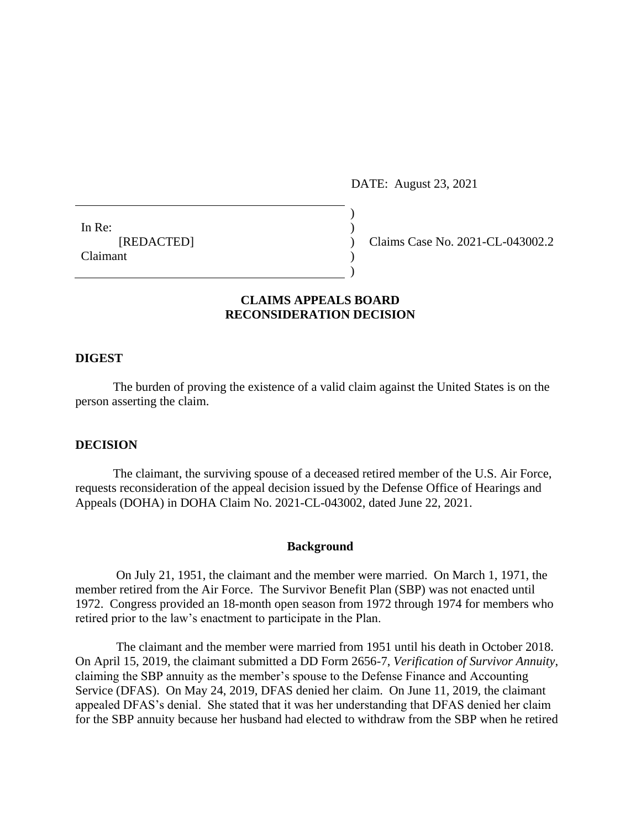DATE: August 23, 2021

In Re:  $\qquad \qquad$ ) Claimant )

[REDACTED] ) Claims Case No. 2021-CL-043002.2

# **CLAIMS APPEALS BOARD RECONSIDERATION DECISION**

 $\lambda$ 

)

## **DIGEST**

The burden of proving the existence of a valid claim against the United States is on the person asserting the claim.

#### **DECISION**

The claimant, the surviving spouse of a deceased retired member of the U.S. Air Force, requests reconsideration of the appeal decision issued by the Defense Office of Hearings and Appeals (DOHA) in DOHA Claim No. 2021-CL-043002, dated June 22, 2021.

#### **Background**

 On July 21, 1951, the claimant and the member were married. On March 1, 1971, the member retired from the Air Force. The Survivor Benefit Plan (SBP) was not enacted until 1972. Congress provided an 18-month open season from 1972 through 1974 for members who retired prior to the law's enactment to participate in the Plan.

 The claimant and the member were married from 1951 until his death in October 2018. On April 15, 2019, the claimant submitted a DD Form 2656-7, *Verification of Survivor Annuity*, claiming the SBP annuity as the member's spouse to the Defense Finance and Accounting Service (DFAS). On May 24, 2019, DFAS denied her claim. On June 11, 2019, the claimant appealed DFAS's denial. She stated that it was her understanding that DFAS denied her claim for the SBP annuity because her husband had elected to withdraw from the SBP when he retired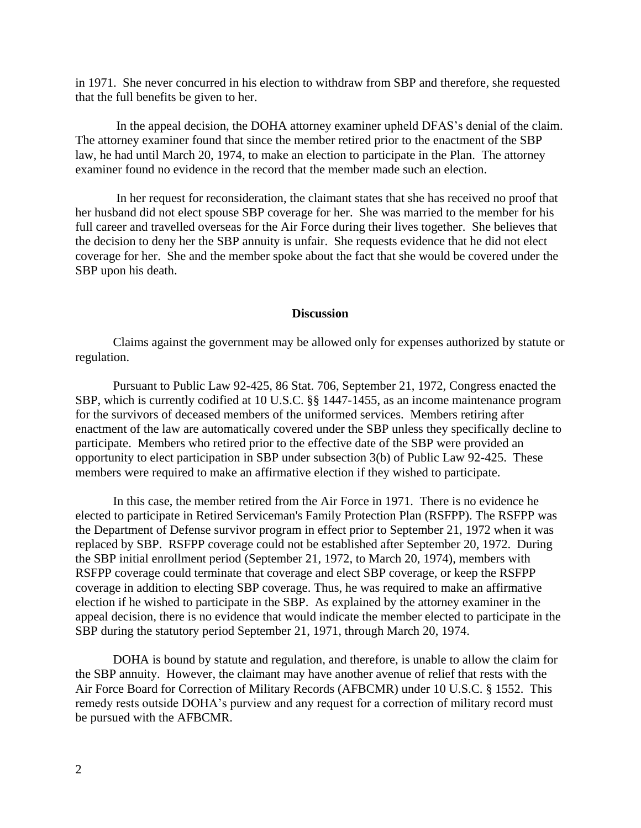in 1971. She never concurred in his election to withdraw from SBP and therefore, she requested that the full benefits be given to her.

 In the appeal decision, the DOHA attorney examiner upheld DFAS's denial of the claim. The attorney examiner found that since the member retired prior to the enactment of the SBP law, he had until March 20, 1974, to make an election to participate in the Plan. The attorney examiner found no evidence in the record that the member made such an election.

 In her request for reconsideration, the claimant states that she has received no proof that her husband did not elect spouse SBP coverage for her. She was married to the member for his full career and travelled overseas for the Air Force during their lives together. She believes that the decision to deny her the SBP annuity is unfair. She requests evidence that he did not elect coverage for her. She and the member spoke about the fact that she would be covered under the SBP upon his death.

#### **Discussion**

Claims against the government may be allowed only for expenses authorized by statute or regulation.

Pursuant to Public Law 92-425, 86 Stat. 706, September 21, 1972, Congress enacted the SBP, which is currently codified at 10 U.S.C. §§ 1447-1455, as an income maintenance program for the survivors of deceased members of the uniformed services. Members retiring after enactment of the law are automatically covered under the SBP unless they specifically decline to participate. Members who retired prior to the effective date of the SBP were provided an opportunity to elect participation in SBP under subsection 3(b) of Public Law 92-425. These members were required to make an affirmative election if they wished to participate.

In this case, the member retired from the Air Force in 1971. There is no evidence he elected to participate in Retired Serviceman's Family Protection Plan (RSFPP). The RSFPP was the Department of Defense survivor program in effect prior to September 21, 1972 when it was replaced by SBP. RSFPP coverage could not be established after September 20, 1972. During the SBP initial enrollment period (September 21, 1972, to March 20, 1974), members with RSFPP coverage could terminate that coverage and elect SBP coverage, or keep the RSFPP coverage in addition to electing SBP coverage. Thus, he was required to make an affirmative election if he wished to participate in the SBP. As explained by the attorney examiner in the appeal decision, there is no evidence that would indicate the member elected to participate in the SBP during the statutory period September 21, 1971, through March 20, 1974.

DOHA is bound by statute and regulation, and therefore, is unable to allow the claim for the SBP annuity. However, the claimant may have another avenue of relief that rests with the Air Force Board for Correction of Military Records (AFBCMR) under 10 U.S.C. § 1552. This remedy rests outside DOHA's purview and any request for a correction of military record must be pursued with the AFBCMR.